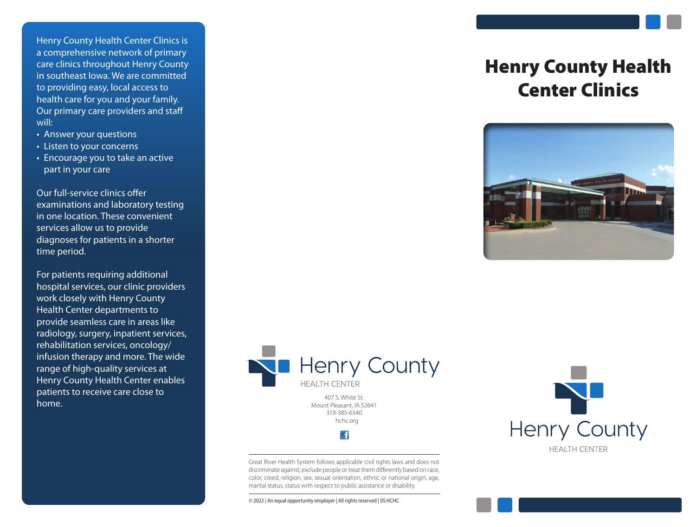Henry County Health Center Clinics is a comprehensive network of primary care clinics throughout Henry County in southeast Iowa. We are committed to providing easy, local access to health care for you and your family. Our primary care providers and staff will:

- Answer your questions
- Listen to your concerns
- Encourage you to take an active part in your care

Our full-service clinics offer examinations and laboratory testing in one location. These convenient services allow us to provide diagnoses for patients in a shorter time period.

For patients requiring additional hospital services, our clinic providers work closely with Henry County Health Center departments to provide seamless care in areas like radiology, surgery, inpatient services, rehabilitation services, oncology/ infusion therapy and more. The wide range of high-quality services at Henry County Health Center enables patients to receive care close to home.

# Henry County Health Center Clinics





Mount Pleasant, IA 52641 319-385-6540 hchc.org

**F** 

Great River Health System follows applicable civil rights laws and does not discriminate against, exclude people or treat them differently based on race, color, creed, religion, sex, sexual orientation, ethnic or national origin, age, marital status, status with respect to public assistance or disability.

**Henry County HEALTH CENTER** 

© 2022 | An equal opportunity employer | All rights reserved | 05.HCHC